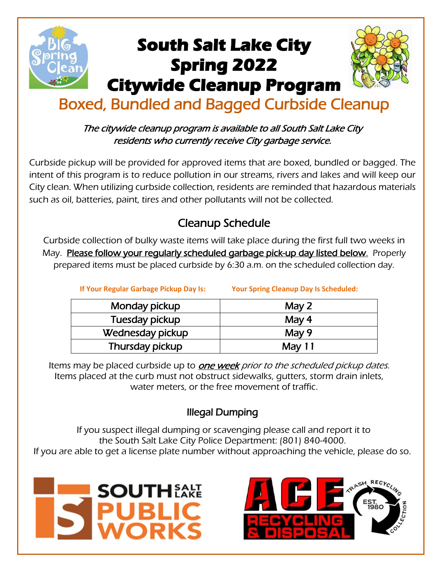

### The citywide cleanup program is available to all South Salt Lake City residents who currently receive City garbage service.

Curbside pickup will be provided for approved items that are boxed, bundled or bagged. The intent of this program is to reduce pollution in our streams, rivers and lakes and will keep our City clean. When utilizing curbside collection, residents are reminded that hazardous materials such as oil, batteries, paint, tires and other pollutants will not be collected.

# Cleanup Schedule

Curbside collection of bulky waste items will take place during the first full two weeks in May. Please follow your regularly scheduled garbage pick-up day listed below. Properly prepared items must be placed curbside by 6:30 a.m. on the scheduled collection day.

**If Your Regular Garbage Pickup Day Is: Your Spring Cleanup Day Is Scheduled:**

| Monday pickup    | May $2$ |
|------------------|---------|
| Tuesday pickup   | May $4$ |
| Wednesday pickup | May 9   |
| Thursday pickup  | May 11  |

Items may be placed curbside up to one week prior to the scheduled pickup dates. Items placed at the curb must not obstruct sidewalks, gutters, storm drain inlets, water meters, or the free movement of traffic.

### Illegal Dumping

If you suspect [illegal dumping](https://www.phoenix.gov/publicworkssite/Pages/trashscheduleillegaldumping.aspx) or scavenging please call and report it to the South Salt Lake City Police Department: (801) 840-4000. If you are able to get a license plate number without approaching the vehicle, please do so.